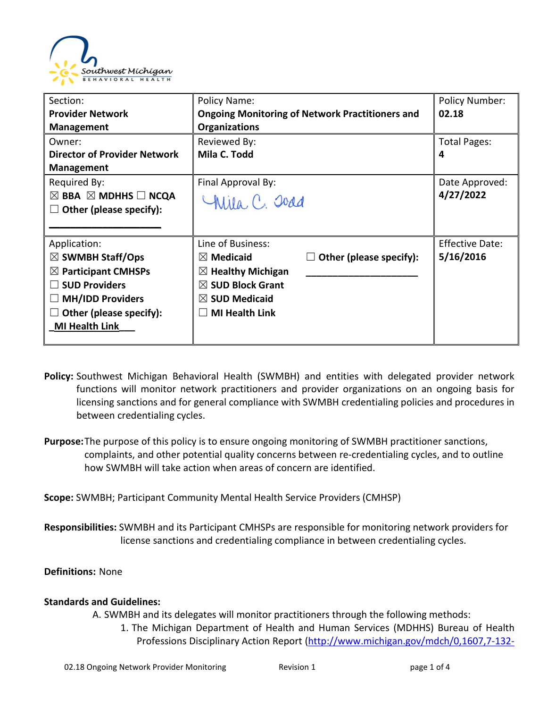

| Section:                                      | Policy Name:                                           |                         | <b>Policy Number:</b>  |
|-----------------------------------------------|--------------------------------------------------------|-------------------------|------------------------|
| <b>Provider Network</b>                       | <b>Ongoing Monitoring of Network Practitioners and</b> |                         | 02.18                  |
| <b>Management</b>                             | <b>Organizations</b>                                   |                         |                        |
| Owner:                                        | Reviewed By:                                           |                         | <b>Total Pages:</b>    |
| <b>Director of Provider Network</b>           | Mila C. Todd                                           |                         | 4                      |
| <b>Management</b>                             |                                                        |                         |                        |
| Required By:                                  | Final Approval By:                                     |                         | Date Approved:         |
| $\boxtimes$ BBA $\boxtimes$ MDHHS $\Box$ NCQA | Chila, C. Joad                                         |                         | 4/27/2022              |
| Other (please specify):                       |                                                        |                         |                        |
|                                               |                                                        |                         |                        |
| Application:                                  | Line of Business:                                      |                         | <b>Effective Date:</b> |
| $\boxtimes$ SWMBH Staff/Ops                   | $\boxtimes$ Medicaid                                   | Other (please specify): | 5/16/2016              |
| $\boxtimes$ Participant CMHSPs                | $\boxtimes$ Healthy Michigan                           |                         |                        |
| <b>SUD Providers</b>                          | $\boxtimes$ SUD Block Grant                            |                         |                        |
| <b>MH/IDD Providers</b>                       | $\boxtimes$ SUD Medicaid                               |                         |                        |
| Other (please specify):                       | <b>MI Health Link</b>                                  |                         |                        |
| <b>MI Health Link</b>                         |                                                        |                         |                        |
|                                               |                                                        |                         |                        |

- **Policy:** Southwest Michigan Behavioral Health (SWMBH) and entities with delegated provider network functions will monitor network practitioners and provider organizations on an ongoing basis for licensing sanctions and for general compliance with SWMBH credentialing policies and procedures in between credentialing cycles.
- **Purpose:**The purpose of this policy is to ensure ongoing monitoring of SWMBH practitioner sanctions, complaints, and other potential quality concerns between re-credentialing cycles, and to outline how SWMBH will take action when areas of concern are identified.

**Scope:** SWMBH; Participant Community Mental Health Service Providers (CMHSP)

**Responsibilities:** SWMBH and its Participant CMHSPs are responsible for monitoring network providers for license sanctions and credentialing compliance in between credentialing cycles.

## **Definitions:** None

## **Standards and Guidelines:**

A. SWMBH and its delegates will monitor practitioners through the following methods:

1. The Michigan Department of Health and Human Services (MDHHS) Bureau of Health Professions Disciplinary Action Report [\(http://www.michigan.gov/mdch/0,1607,7-132-](http://www.michigan.gov/mdch/0,1607,7-132-27417_27529-43008--,00.html)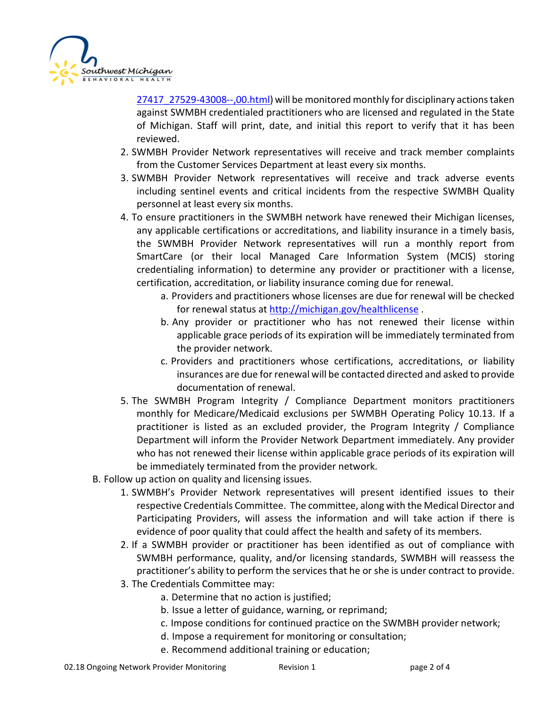

[27417\\_27529-43008--,00.html\)](http://www.michigan.gov/mdch/0,1607,7-132-27417_27529-43008--,00.html) will be monitored monthly for disciplinary actions taken against SWMBH credentialed practitioners who are licensed and regulated in the State of Michigan. Staff will print, date, and initial this report to verify that it has been reviewed.

- 2. SWMBH Provider Network representatives will receive and track member complaints from the Customer Services Department at least every six months.
- 3. SWMBH Provider Network representatives will receive and track adverse events including sentinel events and critical incidents from the respective SWMBH Quality personnel at least every six months.
- 4. To ensure practitioners in the SWMBH network have renewed their Michigan licenses, any applicable certifications or accreditations, and liability insurance in a timely basis, the SWMBH Provider Network representatives will run a monthly report from SmartCare (or their local Managed Care Information System (MCIS) storing credentialing information) to determine any provider or practitioner with a license, certification, accreditation, or liability insurance coming due for renewal.
	- a. Providers and practitioners whose licenses are due for renewal will be checked for renewal status at http://michigan.gov/healthlicense.
	- b. Any provider or practitioner who has not renewed their license within applicable grace periods of its expiration will be immediately terminated from the provider network.
	- c. Providers and practitioners whose certifications, accreditations, or liability insurances are due for renewal will be contacted directed and asked to provide documentation of renewal.
- 5. The SWMBH Program Integrity / Compliance Department monitors practitioners monthly for Medicare/Medicaid exclusions per SWMBH Operating Policy 10.13. If a practitioner is listed as an excluded provider, the Program Integrity / Compliance Department will inform the Provider Network Department immediately. Any provider who has not renewed their license within applicable grace periods of its expiration will be immediately terminated from the provider network.
- B. Follow up action on quality and licensing issues.
	- 1. SWMBH's Provider Network representatives will present identified issues to their respective Credentials Committee. The committee, along with the Medical Director and Participating Providers, will assess the information and will take action if there is evidence of poor quality that could affect the health and safety of its members.
	- 2. If a SWMBH provider or practitioner has been identified as out of compliance with SWMBH performance, quality, and/or licensing standards, SWMBH will reassess the practitioner's ability to perform the services that he or she is under contract to provide.
	- 3. The Credentials Committee may:
		- a. Determine that no action is justified;
		- b. Issue a letter of guidance, warning, or reprimand;
		- c. Impose conditions for continued practice on the SWMBH provider network;
		- d. Impose a requirement for monitoring or consultation;
		- e. Recommend additional training or education;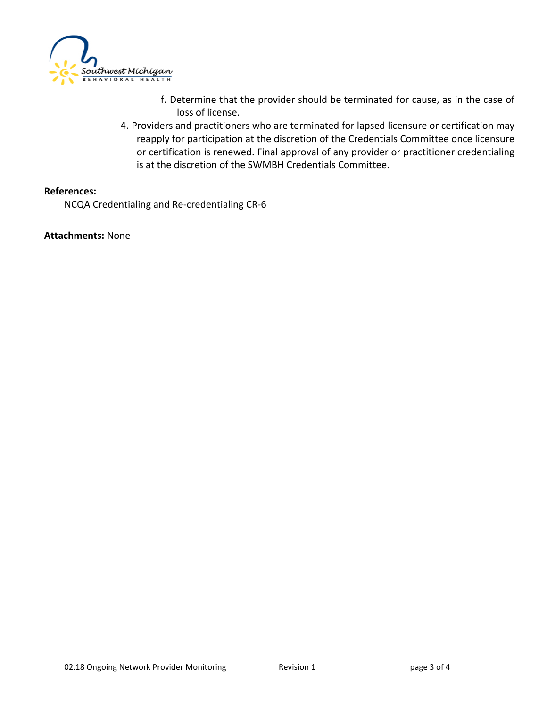

- f. Determine that the provider should be terminated for cause, as in the case of loss of license.
- 4. Providers and practitioners who are terminated for lapsed licensure or certification may reapply for participation at the discretion of the Credentials Committee once licensure or certification is renewed. Final approval of any provider or practitioner credentialing is at the discretion of the SWMBH Credentials Committee.

## **References:**

NCQA Credentialing and Re-credentialing CR-6

**Attachments:** None